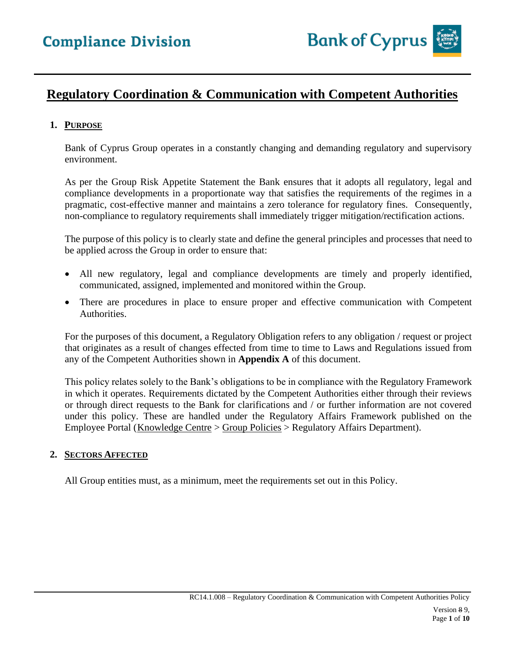

# **Regulatory Coordination & Communication with Competent Authorities**

# **1. PURPOSE**

Bank of Cyprus Group operates in a constantly changing and demanding regulatory and supervisory environment.

As per the Group Risk Appetite Statement the Bank ensures that it adopts all regulatory, legal and compliance developments in a proportionate way that satisfies the requirements of the regimes in a pragmatic, cost-effective manner and maintains a zero tolerance for regulatory fines. Consequently, non-compliance to regulatory requirements shall immediately trigger mitigation/rectification actions.

The purpose of this policy is to clearly state and define the general principles and processes that need to be applied across the Group in order to ensure that:

- All new regulatory, legal and compliance developments are timely and properly identified, communicated, assigned, implemented and monitored within the Group.
- There are procedures in place to ensure proper and effective communication with Competent Authorities.

For the purposes of this document, a Regulatory Obligation refers to any obligation / request or project that originates as a result of changes effected from time to time to Laws and Regulations issued from any of the Competent Authorities shown in **Appendix A** of this document.

This policy relates solely to the Bank's obligations to be in compliance with the Regulatory Framework in which it operates. Requirements dictated by the Competent Authorities either through their reviews or through direct requests to the Bank for clarifications and / or further information are not covered under this policy. These are handled under the Regulatory Affairs Framework published on the Employee Portal [\(Knowledge Centre](https://portal.bankofcyprus.com/en/knowledge/Pages/default.aspx) > [Group Policies](https://portal.bankofcyprus.com/en/knowledge/Group%20Policies/Pages/default.aspx) > Regulatory Affairs Department).

#### **2. SECTORS AFFECTED**

All Group entities must, as a minimum, meet the requirements set out in this Policy.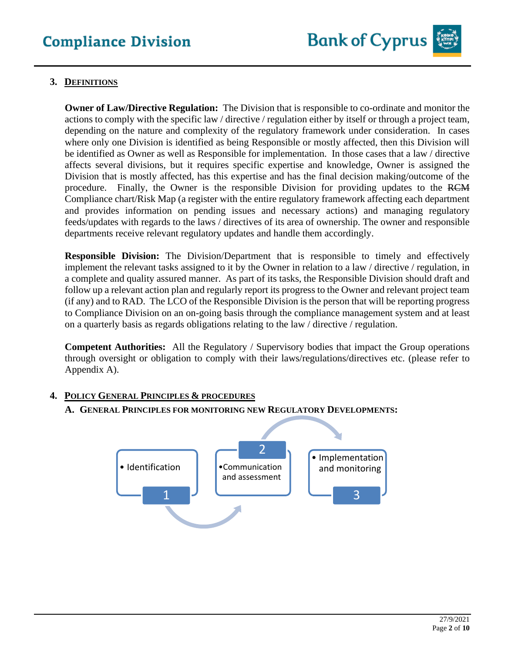

# **3. DEFINITIONS**

**Owner of Law/Directive Regulation:** The Division that is responsible to co-ordinate and monitor the actions to comply with the specific law / directive / regulation either by itself or through a project team, depending on the nature and complexity of the regulatory framework under consideration. In cases where only one Division is identified as being Responsible or mostly affected, then this Division will be identified as Owner as well as Responsible for implementation. In those cases that a law / directive affects several divisions, but it requires specific expertise and knowledge, Owner is assigned the Division that is mostly affected, has this expertise and has the final decision making/outcome of the procedure. Finally, the Owner is the responsible Division for providing updates to the RCM Compliance chart/Risk Map (a register with the entire regulatory framework affecting each department and provides information on pending issues and necessary actions) and managing regulatory feeds/updates with regards to the laws / directives of its area of ownership. The owner and responsible departments receive relevant regulatory updates and handle them accordingly.

**Responsible Division:** The Division/Department that is responsible to timely and effectively implement the relevant tasks assigned to it by the Owner in relation to a law / directive / regulation, in a complete and quality assured manner. As part of its tasks, the Responsible Division should draft and follow up a relevant action plan and regularly report its progress to the Owner and relevant project team (if any) and to RAD. The LCO of the Responsible Division is the person that will be reporting progress to Compliance Division on an on-going basis through the compliance management system and at least on a quarterly basis as regards obligations relating to the law / directive / regulation.

**Competent Authorities:** All the Regulatory / Supervisory bodies that impact the Group operations through oversight or obligation to comply with their laws/regulations/directives etc. (please refer to Appendix A).

#### **4. POLICY GENERAL PRINCIPLES & PROCEDURES**

#### **A. GENERAL PRINCIPLES FOR MONITORING NEW REGULATORY DEVELOPMENTS:**

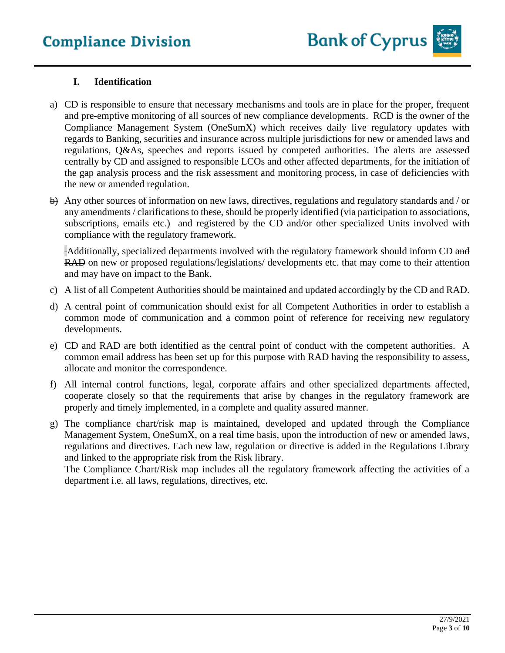

# **I. Identification**

- a) CD is responsible to ensure that necessary mechanisms and tools are in place for the proper, frequent and pre-emptive monitoring of all sources of new compliance developments.RCD is the owner of the Compliance Management System (OneSumX) which receives daily live regulatory updates with regards to Banking, securities and insurance across multiple jurisdictions for new or amended laws and regulations, Q&As, speeches and reports issued by competed authorities. The alerts are assessed centrally by CD and assigned to responsible LCOs and other affected departments, for the initiation of the gap analysis process and the risk assessment and monitoring process, in case of deficiencies with the new or amended regulation.
- b) Any other sources of information on new laws, directives, regulations and regulatory standards and / or any amendments / clarifications to these, should be properly identified (via participation to associations, subscriptions, emails etc.) and registered by the CD and/or other specialized Units involved with compliance with the regulatory framework.

Additionally, specialized departments involved with the regulatory framework should inform CD and RAD on new or proposed regulations/legislations/ developments etc. that may come to their attention and may have on impact to the Bank.

- c) A list of all Competent Authorities should be maintained and updated accordingly by the CD and RAD.
- d) A central point of communication should exist for all Competent Authorities in order to establish a common mode of communication and a common point of reference for receiving new regulatory developments.
- e) CD and RAD are both identified as the central point of conduct with the competent authorities. A common email address has been set up for this purpose with RAD having the responsibility to assess, allocate and monitor the correspondence.
- f) All internal control functions, legal, corporate affairs and other specialized departments affected, cooperate closely so that the requirements that arise by changes in the regulatory framework are properly and timely implemented, in a complete and quality assured manner.
- g) The compliance chart/risk map is maintained, developed and updated through the Compliance Management System, OneSumX, on a real time basis, upon the introduction of new or amended laws, regulations and directives. Each new law, regulation or directive is added in the Regulations Library and linked to the appropriate risk from the Risk library.

The Compliance Chart/Risk map includes all the regulatory framework affecting the activities of a department i.e. all laws, regulations, directives, etc.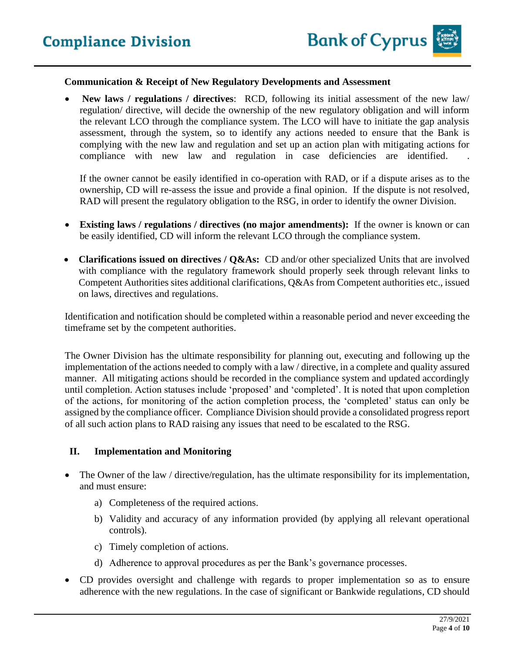#### **Communication & Receipt of New Regulatory Developments and Assessment**

• **New laws / regulations / directives**: RCD, following its initial assessment of the new law/ regulation/ directive, will decide the ownership of the new regulatory obligation and will inform the relevant LCO through the compliance system. The LCO will have to initiate the gap analysis assessment, through the system, so to identify any actions needed to ensure that the Bank is complying with the new law and regulation and set up an action plan with mitigating actions for compliance with new law and regulation in case deficiencies are identified. .

If the owner cannot be easily identified in co-operation with RAD, or if a dispute arises as to the ownership, CD will re-assess the issue and provide a final opinion. If the dispute is not resolved, RAD will present the regulatory obligation to the RSG, in order to identify the owner Division.

- **Existing laws / regulations / directives (no major amendments):** If the owner is known or can be easily identified, CD will inform the relevant LCO through the compliance system.
- **Clarifications issued on directives / O&As:** CD and/or other specialized Units that are involved with compliance with the regulatory framework should properly seek through relevant links to Competent Authorities sites additional clarifications, Q&As from Competent authorities etc., issued on laws, directives and regulations.

Identification and notification should be completed within a reasonable period and never exceeding the timeframe set by the competent authorities.

The Owner Division has the ultimate responsibility for planning out, executing and following up the implementation of the actions needed to comply with a law / directive, in a complete and quality assured manner. All mitigating actions should be recorded in the compliance system and updated accordingly until completion. Action statuses include 'proposed' and 'completed'. It is noted that upon completion of the actions, for monitoring of the action completion process, the 'completed' status can only be assigned by the compliance officer. Compliance Division should provide a consolidated progress report of all such action plans to RAD raising any issues that need to be escalated to the RSG.

#### **II. Implementation and Monitoring**

- The Owner of the law / directive/regulation, has the ultimate responsibility for its implementation, and must ensure:
	- a) Completeness of the required actions.
	- b) Validity and accuracy of any information provided (by applying all relevant operational controls).
	- c) Timely completion of actions.
	- d) Adherence to approval procedures as per the Bank's governance processes.
- CD provides oversight and challenge with regards to proper implementation so as to ensure adherence with the new regulations. In the case of significant or Bankwide regulations, CD should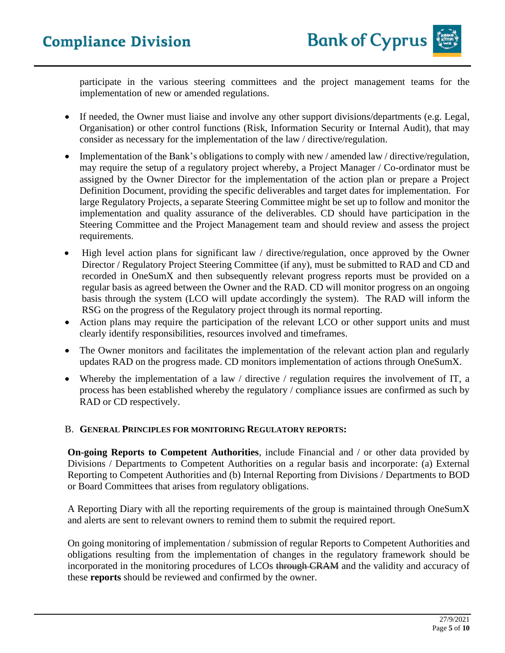participate in the various steering committees and the project management teams for the implementation of new or amended regulations.

- If needed, the Owner must liaise and involve any other support divisions/departments (e.g. Legal, Organisation) or other control functions (Risk, Information Security or Internal Audit), that may consider as necessary for the implementation of the law / directive/regulation.
- Implementation of the Bank's obligations to comply with new / amended law / directive/regulation, may require the setup of a regulatory project whereby, a Project Manager / Co-ordinator must be assigned by the Owner Director for the implementation of the action plan or prepare a Project Definition Document, providing the specific deliverables and target dates for implementation. For large Regulatory Projects, a separate Steering Committee might be set up to follow and monitor the implementation and quality assurance of the deliverables. CD should have participation in the Steering Committee and the Project Management team and should review and assess the project requirements.
- High level action plans for significant law / directive/regulation, once approved by the Owner Director / Regulatory Project Steering Committee (if any), must be submitted to RAD and CD and recorded in OneSumX and then subsequently relevant progress reports must be provided on a regular basis as agreed between the Owner and the RAD. CD will monitor progress on an ongoing basis through the system (LCO will update accordingly the system). The RAD will inform the RSG on the progress of the Regulatory project through its normal reporting.
- Action plans may require the participation of the relevant LCO or other support units and must clearly identify responsibilities, resources involved and timeframes.
- The Owner monitors and facilitates the implementation of the relevant action plan and regularly updates RAD on the progress made. CD monitors implementation of actions through OneSumX.
- Whereby the implementation of a law / directive / regulation requires the involvement of IT, a process has been established whereby the regulatory / compliance issues are confirmed as such by RAD or CD respectively.

# B. **GENERAL PRINCIPLES FOR MONITORING REGULATORY REPORTS:**

**On-going Reports to Competent Authorities**, include Financial and / or other data provided by Divisions / Departments to Competent Authorities on a regular basis and incorporate: (a) External Reporting to Competent Authorities and (b) Internal Reporting from Divisions / Departments to BOD or Board Committees that arises from regulatory obligations.

A Reporting Diary with all the reporting requirements of the group is maintained through OneSumX and alerts are sent to relevant owners to remind them to submit the required report.

On going monitoring of implementation / submission of regular Reports to Competent Authorities and obligations resulting from the implementation of changes in the regulatory framework should be incorporated in the monitoring procedures of LCOs through CRAM and the validity and accuracy of these **reports** should be reviewed and confirmed by the owner.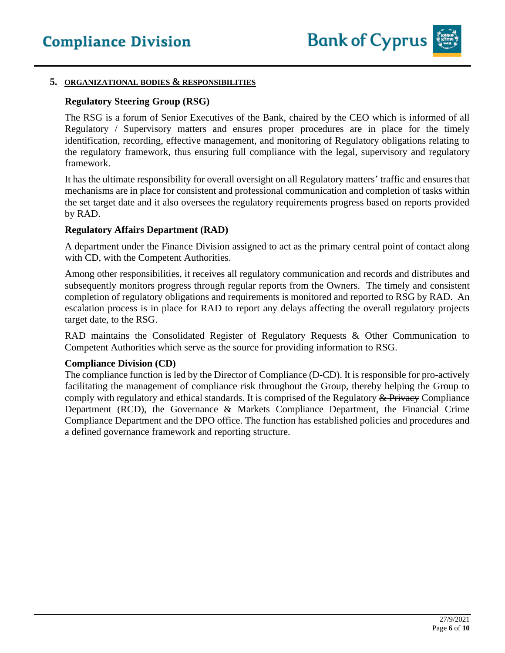#### **5. ORGANIZATIONAL BODIES & RESPONSIBILITIES**

#### **Regulatory Steering Group (RSG)**

The RSG is a forum of Senior Executives of the Bank, chaired by the CEO which is informed of all Regulatory / Supervisory matters and ensures proper procedures are in place for the timely identification, recording, effective management, and monitoring of Regulatory obligations relating to the regulatory framework, thus ensuring full compliance with the legal, supervisory and regulatory framework.

It has the ultimate responsibility for overall oversight on all Regulatory matters' traffic and ensures that mechanisms are in place for consistent and professional communication and completion of tasks within the set target date and it also oversees the regulatory requirements progress based on reports provided by RAD.

#### **Regulatory Affairs Department (RAD)**

A department under the Finance Division assigned to act as the primary central point of contact along with CD, with the Competent Authorities.

Among other responsibilities, it receives all regulatory communication and records and distributes and subsequently monitors progress through regular reports from the Owners. The timely and consistent completion of regulatory obligations and requirements is monitored and reported to RSG by RAD. An escalation process is in place for RAD to report any delays affecting the overall regulatory projects target date, to the RSG.

RAD maintains the Consolidated Register of Regulatory Requests & Other Communication to Competent Authorities which serve as the source for providing information to RSG.

#### **Compliance Division (CD)**

The compliance function is led by the Director of Compliance (D-CD). It is responsible for pro-actively facilitating the management of compliance risk throughout the Group, thereby helping the Group to comply with regulatory and ethical standards. It is comprised of the Regulatory & Privacy Compliance Department (RCD), the Governance & Markets Compliance Department, the Financial Crime Compliance Department and the DPO office. The function has established policies and procedures and a defined governance framework and reporting structure.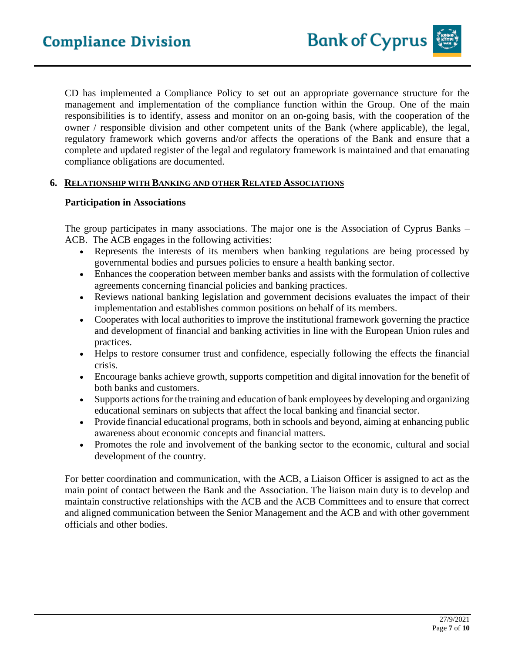CD has implemented a Compliance Policy to set out an appropriate governance structure for the management and implementation of the compliance function within the Group. One of the main responsibilities is to identify, assess and monitor on an on-going basis, with the cooperation of the owner / responsible division and other competent units of the Bank (where applicable), the legal, regulatory framework which governs and/or affects the operations of the Bank and ensure that a complete and updated register of the legal and regulatory framework is maintained and that emanating compliance obligations are documented.

# **6. RELATIONSHIP WITH BANKING AND OTHER RELATED ASSOCIATIONS**

# **Participation in Associations**

The group participates in many associations. The major one is the Association of Cyprus Banks – ACB. The ACB engages in the following activities:

- Represents the interests of its members when banking regulations are being processed by governmental bodies and pursues policies to ensure a health banking sector.
- Enhances the cooperation between member banks and assists with the formulation of collective agreements concerning financial policies and banking practices.
- Reviews national banking legislation and government decisions evaluates the impact of their implementation and establishes common positions on behalf of its members.
- Cooperates with local authorities to improve the institutional framework governing the practice and development of financial and banking activities in line with the European Union rules and practices.
- Helps to restore consumer trust and confidence, especially following the effects the financial crisis.
- Encourage banks achieve growth, supports competition and digital innovation for the benefit of both banks and customers.
- Supports actions for the training and education of bank employees by developing and organizing educational seminars on subjects that affect the local banking and financial sector.
- Provide financial educational programs, both in schools and beyond, aiming at enhancing public awareness about economic concepts and financial matters.
- Promotes the role and involvement of the banking sector to the economic, cultural and social development of the country.

For better coordination and communication, with the ACB, a Liaison Officer is assigned to act as the main point of contact between the Bank and the Association. The liaison main duty is to develop and maintain constructive relationships with the ACB and the ACB Committees and to ensure that correct and aligned communication between the Senior Management and the ACB and with other government officials and other bodies.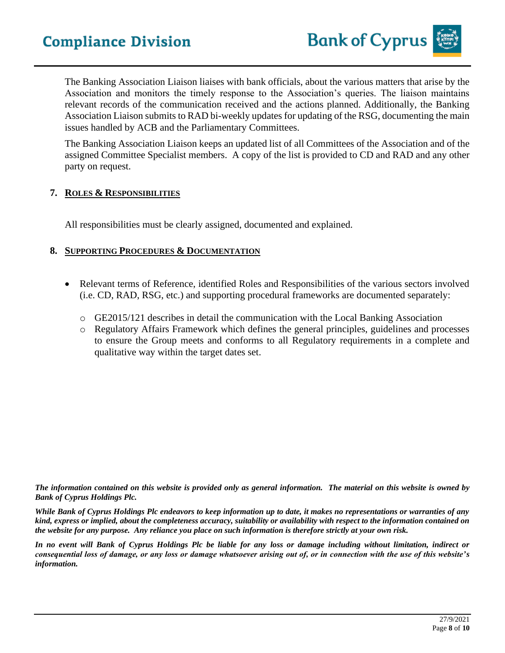# **Compliance Division**



The Banking Association Liaison liaises with bank officials, about the various matters that arise by the Association and monitors the timely response to the Association's queries. The liaison maintains relevant records of the communication received and the actions planned. Additionally, the Banking Association Liaison submits to RAD bi-weekly updates for updating of the RSG, documenting the main issues handled by ACB and the Parliamentary Committees.

The Banking Association Liaison keeps an updated list of all Committees of the Association and of the assigned Committee Specialist members. A copy of the list is provided to CD and RAD and any other party on request.

# **7. ROLES & RESPONSIBILITIES**

All responsibilities must be clearly assigned, documented and explained.

# **8. SUPPORTING PROCEDURES & DOCUMENTATION**

- Relevant terms of Reference, identified Roles and Responsibilities of the various sectors involved (i.e. CD, RAD, RSG, etc.) and supporting procedural frameworks are documented separately:
	- $\circ$  GE2015/121 describes in detail the communication with the Local Banking Association
	- o Regulatory Affairs Framework which defines the general principles, guidelines and processes to ensure the Group meets and conforms to all Regulatory requirements in a complete and qualitative way within the target dates set.

*The information contained on this website is provided only as general information. The material on this website is owned by Bank of Cyprus Holdings Plc.*

*While Bank of Cyprus Holdings Plc endeavors to keep information up to date, it makes no representations or warranties of any kind, express or implied, about the completeness accuracy, suitability or availability with respect to the information contained on the website for any purpose. Any reliance you place on such information is therefore strictly at your own risk.* 

*In no event will Bank of Cyprus Holdings Plc be liable for any loss or damage including without limitation, indirect or consequential loss of damage, or any loss or damage whatsoever arising out of, or in connection with the use of this website's information.*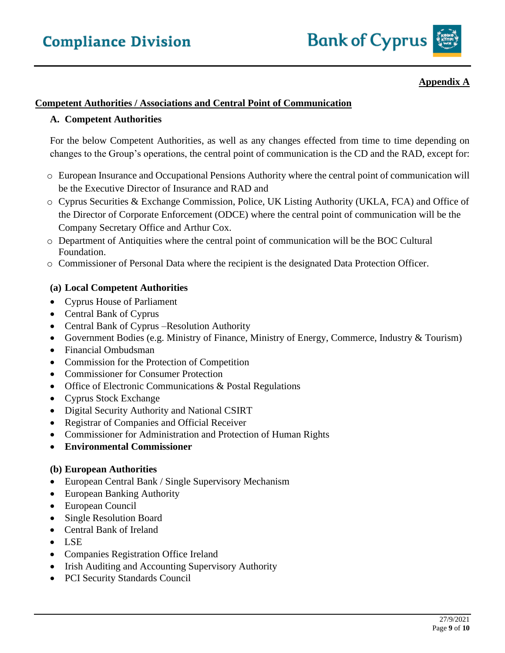

# **Appendix A**

# **Competent Authorities / Associations and Central Point of Communication**

#### **A. Competent Authorities**

For the below Competent Authorities, as well as any changes effected from time to time depending on changes to the Group's operations, the central point of communication is the CD and the RAD, except for:

- o European Insurance and Occupational Pensions Authority where the central point of communication will be the Executive Director of Insurance and RAD and
- o Cyprus Securities & Exchange Commission, Police, UK Listing Authority (UKLA, FCA) and Office of the Director of Corporate Enforcement (ODCE) where the central point of communication will be the Company Secretary Office and Arthur Cox.
- o Department of Antiquities where the central point of communication will be the BOC Cultural Foundation.
- o Commissioner of Personal Data where the recipient is the designated Data Protection Officer.

# **(a) Local Competent Authorities**

- Cyprus House of Parliament
- Central Bank of Cyprus
- Central Bank of Cyprus –Resolution Authority
- Government Bodies (e.g. Ministry of Finance, Ministry of Energy, Commerce, Industry & Tourism)
- Financial Ombudsman
- Commission for the Protection of Competition
- Commissioner for Consumer Protection
- Office of Electronic Communications & Postal Regulations
- Cyprus Stock Exchange
- Digital Security Authority and National CSIRT
- Registrar of Companies and Official Receiver
- Commissioner for Administration and Protection of Human Rights
- **Environmental Commissioner**

#### **(b) European Authorities**

- European Central Bank / Single Supervisory Mechanism
- European Banking Authority
- European Council
- Single Resolution Board
- Central Bank of Ireland
- LSE
- Companies Registration Office Ireland
- Irish Auditing and Accounting Supervisory Authority
- PCI Security Standards Council